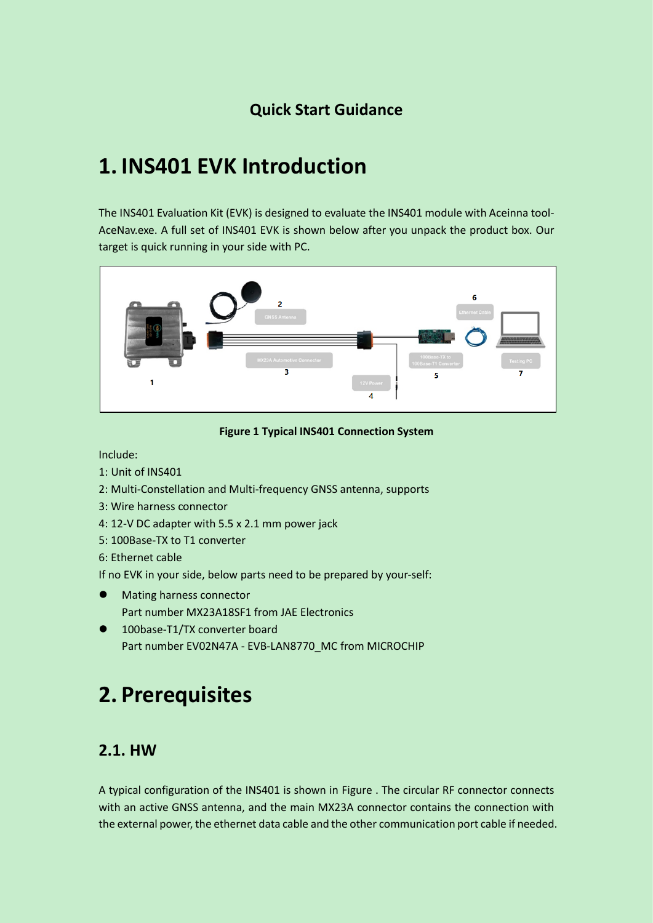#### **Quick Start Guidance**

## **1. INS401 EVK Introduction**

The INS401 Evaluation Kit (EVK) is designed to evaluate the INS401 module with Aceinna tool-AceNav.exe. A full set of INS401 EVK is shown below after you unpack the product box. Our target is quick running in your side with PC.



**Figure 1 Typical INS401 Connection System**

<span id="page-0-0"></span>Include:

- 1: Unit of INS401
- 2: Multi-Constellation and Multi-frequency GNSS antenna, supports
- 3: Wire harness connector
- 4: 12-V DC adapter with 5.5 x 2.1 mm power jack
- 5: 100Base-TX to T1 converter
- 6: Ethernet cable

If no EVK in your side, below parts need to be prepared by your-self:

- ⚫ Mating harness connector Part number MX23A18SF1 from JAE Electronics
- 100base-T1/TX converter board Part number EV02N47A - EVB-LAN8770\_MC from MICROCHIP

# **2. Prerequisites**

#### **2.1. HW**

A typical configuration of the INS401 is shown in [Figure .](#page-0-0) The circular RF connector connects with an active GNSS antenna, and the main MX23A connector contains the connection with the external power, the ethernet data cable and the other communication port cable if needed.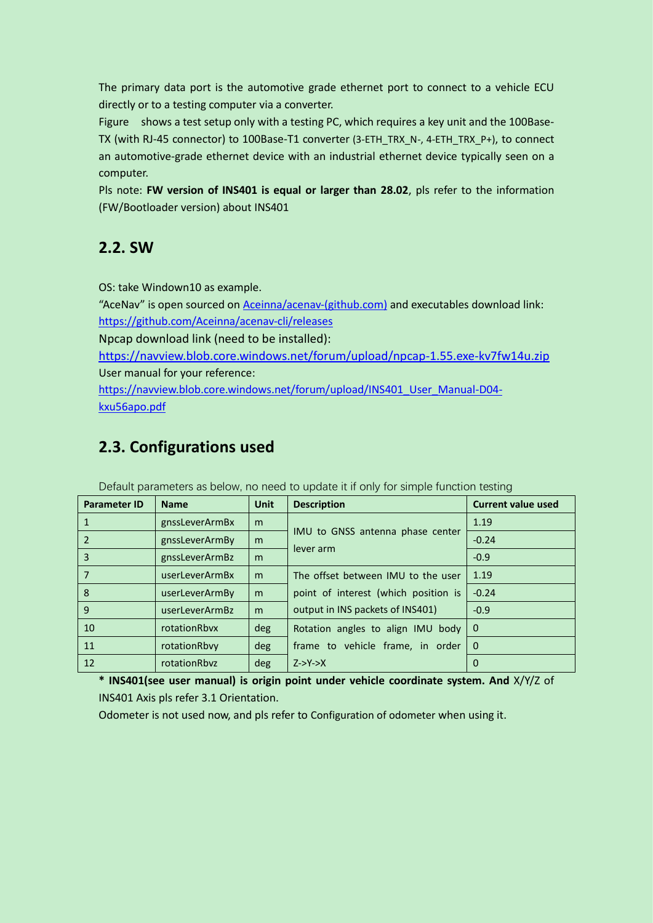The primary data port is the automotive grade ethernet port to connect to a vehicle ECU directly or to a testing computer via a converter.

[Figure](#page-0-0) shows a test setup only with a testing PC, which requires a key unit and the 100Base-TX (with RJ-45 connector) to 100Base-T1 converter (3-ETH\_TRX\_N-, 4-ETH\_TRX\_P+), to connect an automotive-grade ethernet device with an industrial ethernet device typically seen on a computer.

Pls note: **FW version of INS401 is equal or larger than 28.02**, pls refer to [the information](#page-3-0) [\(FW/Bootloader version\)](#page-3-0) about INS401

#### **2.2. SW**

OS: take Windown10 as example.

"AceNav" is open sourced o[n Aceinna/acenav-\(github.com\)](https://github.com/Aceinna/acenav-cli) and executables download link: <https://github.com/Aceinna/acenav-cli/releases>

Npcap download link (need to be installed):

<https://navview.blob.core.windows.net/forum/upload/npcap-1.55.exe-kv7fw14u.zip> User manual for your reference:

[https://navview.blob.core.windows.net/forum/upload/INS401\\_User\\_Manual-D04](https://navview.blob.core.windows.net/forum/upload/INS401_User_Manual-D04-kxu56apo.pdf) [kxu56apo.pdf](https://navview.blob.core.windows.net/forum/upload/INS401_User_Manual-D04-kxu56apo.pdf)

### <span id="page-1-0"></span>**2.3. Configurations used**

| <u>o didiri bararrotoro ao boro ni no nooa to apaato it n'omi nor omnpro ranotron tooting</u> |                |             |                                      |                           |  |
|-----------------------------------------------------------------------------------------------|----------------|-------------|--------------------------------------|---------------------------|--|
| <b>Parameter ID</b>                                                                           | <b>Name</b>    | <b>Unit</b> | <b>Description</b>                   | <b>Current value used</b> |  |
|                                                                                               | gnssLeverArmBx | m           |                                      | 1.19                      |  |
| 2                                                                                             | gnssLeverArmBy | m           | IMU to GNSS antenna phase center     | $-0.24$                   |  |
| 3                                                                                             | gnssLeverArmBz | m           | lever arm                            | $-0.9$                    |  |
|                                                                                               | userLeverArmBx | m           | The offset between IMU to the user   | 1.19                      |  |
| 8                                                                                             | userLeverArmBy | m           | point of interest (which position is | $-0.24$                   |  |
| 9                                                                                             | userLeverArmBz | m           | output in INS packets of INS401)     | $-0.9$                    |  |
| 10                                                                                            | rotationRbvx   | deg         | Rotation angles to align IMU body    | l 0                       |  |
| 11                                                                                            | rotationRbvy   | deg         | frame to vehicle frame, in order     | $\mathbf{0}$              |  |
| 12                                                                                            | rotationRbvz   | deg         | $Z->Y->X$                            | 0                         |  |

Default parameters as below, no need to update it if only for simple function testing

**\* INS401(see user manual) is origin point under vehicle coordinate system. And** X/Y/Z of INS401 Axis pls refe[r 3.1](#page-2-0) Orientation.

Odometer is not used now, and pls refer to [Configuration of odometer](#page-7-0) when using it.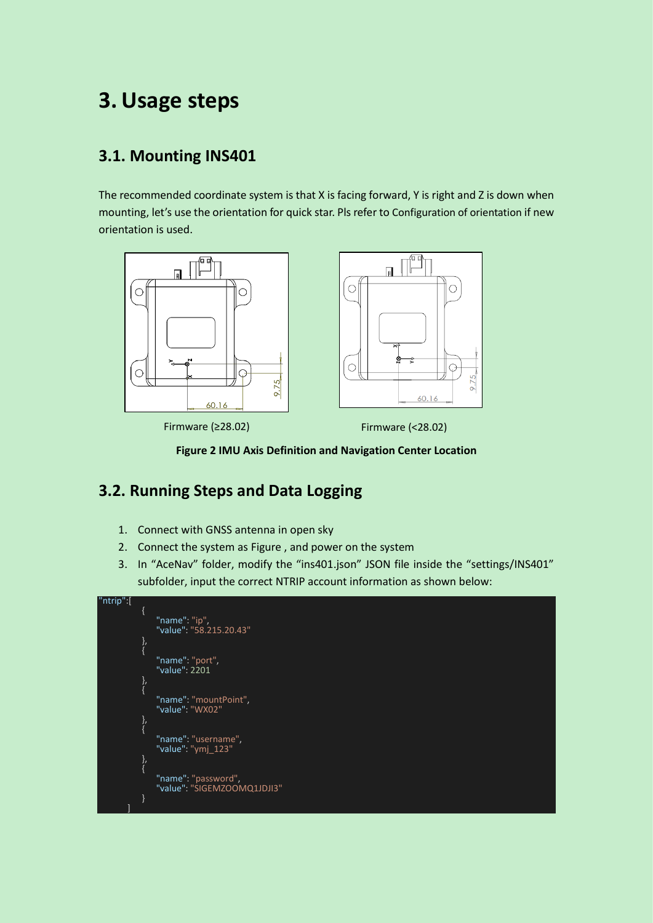# **3. Usage steps**

#### <span id="page-2-0"></span>**3.1. Mounting INS401**

The recommended coordinate system is that X is facing forward, Y is right and Z is down when mounting, let's use the orientation for quick star. Pls refer to [Configuration of orientation](#page-5-0) if new orientation is used.



Firmware (≥28.02) Firmware (<28.02)

**Figure 2 IMU Axis Definition and Navigation Center Location**

#### <span id="page-2-1"></span>**3.2. Running Steps and Data Logging**

- 1. Connect with GNSS antenna in open sky
- 2. Connect the system a[s Figure ,](#page-0-0) and power on the system
- 3. In "AceNav" folder, modify the "ins401.json" JSON file inside the "settings/INS401" subfolder, input the correct NTRIP account information as shown below:

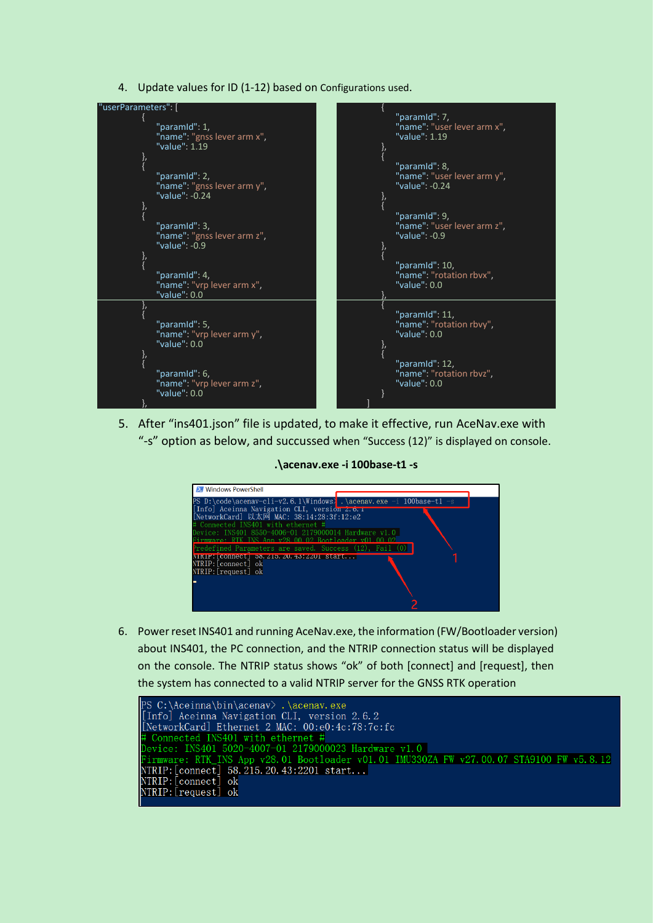4. Update values for ID (1-12) based on [Configurations used](#page-1-0).



5. After "ins401.json" file is updated, to make it effective, run AceNav.exe with "-s" option as below, and succussed when "Success (12)" is displayed on console.

<span id="page-3-0"></span>**.\acenav.exe -i 100base-t1 -s**



6. Power reset INS401 and running AceNav.exe, the information (FW/Bootloader version) about INS401, the PC connection, and the NTRIP connection status will be displayed on the console. The NTRIP status shows "ok" of both [connect] and [request], then the system has connected to a valid NTRIP server for the GNSS RTK operation

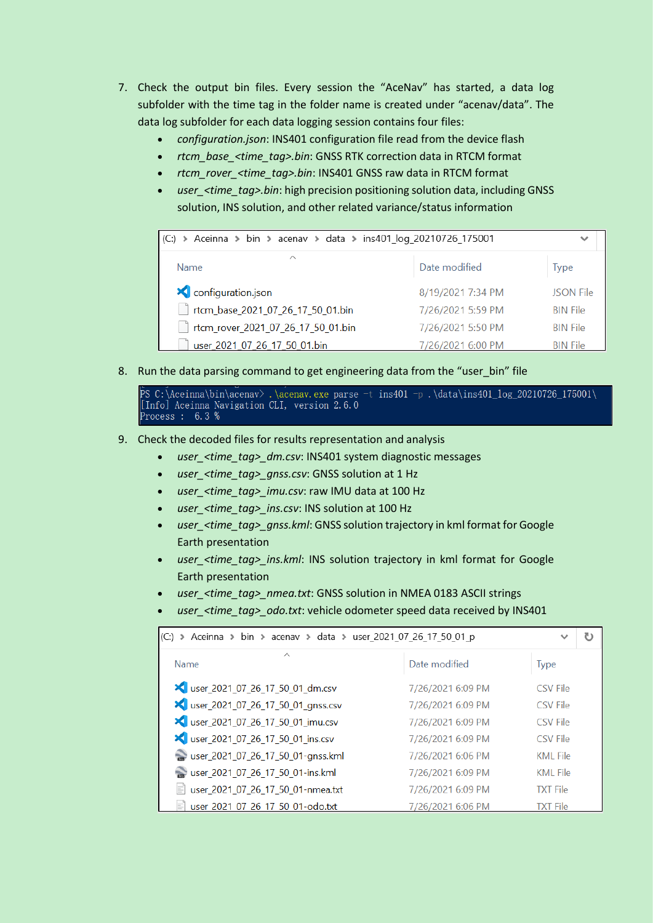- 7. Check the output bin files. Every session the "AceNav" has started, a data log subfolder with the time tag in the folder name is created under "acenav/data". The data log subfolder for each data logging session contains four files:
	- *configuration.json*: INS401 configuration file read from the device flash
	- *rtcm\_base\_<time\_tag>.bin*: GNSS RTK correction data in RTCM format
	- *rtcm\_rover\_<time\_tag>.bin*: INS401 GNSS raw data in RTCM format
	- user <time\_tag>.bin: high precision positioning solution data, including GNSS solution, INS solution, and other related variance/status information

| (C:) > Aceinna > bin > acenav > data > ins401_log_20210726_175001 |                   | $\checkmark$     |
|-------------------------------------------------------------------|-------------------|------------------|
| ́<br>Name                                                         | Date modified     | <b>Type</b>      |
| configuration.json                                                | 8/19/2021 7:34 PM | <b>JSON File</b> |
| rtcm_base_2021_07_26_17_50_01.bin                                 | 7/26/2021 5:59 PM | <b>BIN File</b>  |
| rtcm_rover_2021_07_26_17_50_01.bin                                | 7/26/2021 5:50 PM | <b>BIN File</b>  |
| user 2021 07 26 17 50 01.bin                                      | 7/26/2021 6:00 PM | <b>BIN File</b>  |

8. Run the data parsing command to get engineering data from the "user bin" file

PS C:\Aceinna\bin\acenav> .\acenav.exe parse -t ins401 -p .\data\ins401\_log\_20210726\_175001\ [Info] Aceinna Navigation CLI, version 2.6.0  $Process: 6.3%$ 

- 9. Check the decoded files for results representation and analysis
	- user <time\_tag>\_dm.csv: INS401 system diagnostic messages
	- *user\_<time\_tag>\_gnss.csv*: GNSS solution at 1 Hz
	- user <time\_tag>\_imu.csv: raw IMU data at 100 Hz
	- user <time\_tag>\_ins.csv: INS solution at 100 Hz
	- user <time\_tag>\_gnss.kml: GNSS solution trajectory in kml format for Google Earth presentation
	- user <time\_tag>\_ins.kml: INS solution trajectory in kml format for Google Earth presentation
	- *user\_<time\_tag>\_nmea.txt*: GNSS solution in NMEA 0183 ASCII strings
	- *user\_<time\_tag>\_odo.txt*: vehicle odometer speed data received by INS401

| (C:) > Aceinna > bin > acenav > data > user 2021 07 26 17 50 01 p<br>$\checkmark$ |                   |                 |  |  |
|-----------------------------------------------------------------------------------|-------------------|-----------------|--|--|
| $\wedge$<br>Name                                                                  | Date modified     | <b>Type</b>     |  |  |
| user_2021_07_26_17_50_01_dm.csv                                                   | 7/26/2021 6:09 PM | <b>CSV File</b> |  |  |
| user_2021_07_26_17_50_01_gnss.csv                                                 | 7/26/2021 6:09 PM | <b>CSV File</b> |  |  |
| user_2021_07_26_17_50_01_imu.csv                                                  | 7/26/2021 6:09 PM | <b>CSV File</b> |  |  |
| user_2021_07_26_17_50_01_ins.csv                                                  | 7/26/2021 6:09 PM | <b>CSV File</b> |  |  |
| user_2021_07_26_17_50_01-gnss.kml                                                 | 7/26/2021 6:06 PM | KMI File        |  |  |
| user_2021_07_26_17_50_01-ins.kml                                                  | 7/26/2021 6:09 PM | KMI File        |  |  |
| user_2021_07_26_17_50_01-nmea.txt<br>E                                            | 7/26/2021 6:09 PM | <b>TXT File</b> |  |  |
| user 2021 07 26 17 50 01-odo.txt                                                  | 7/26/2021 6:06 PM | TXT File        |  |  |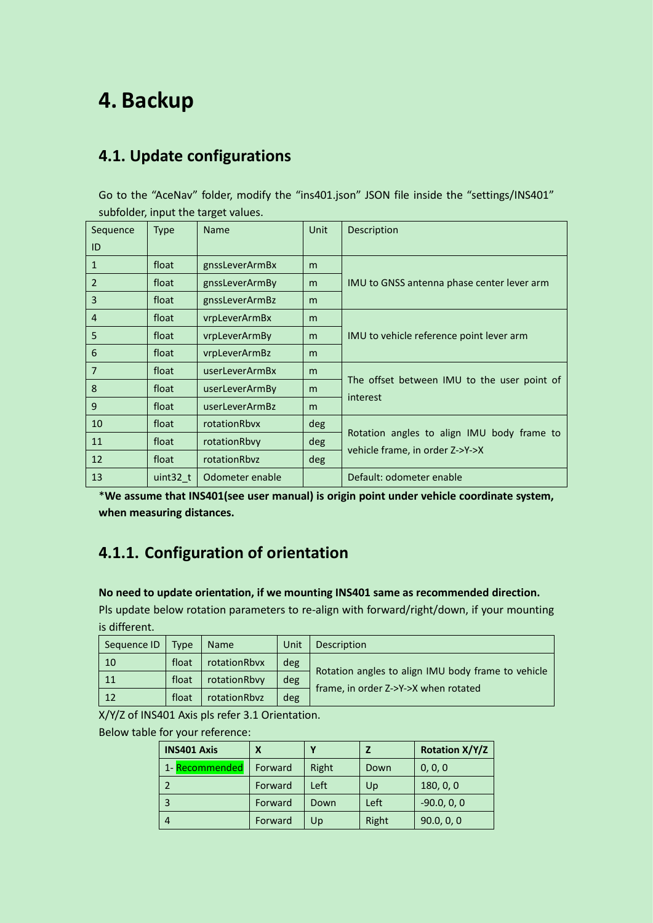## **4. Backup**

#### **4.1. Update configurations**

<span id="page-5-1"></span>Go to the "AceNav" folder, modify the "ins401.json" JSON file inside the "settings/INS401" subfolder, input the target values.

| Sequence       | <b>Type</b> | Name            | Unit | Description                                 |
|----------------|-------------|-----------------|------|---------------------------------------------|
| ID             |             |                 |      |                                             |
| $\mathbf{1}$   | float       | gnssLeverArmBx  | m    |                                             |
| $\mathfrak{p}$ | float       | gnssLeverArmBy  | m    | IMU to GNSS antenna phase center lever arm  |
| 3              | float       | gnssLeverArmBz  | m    |                                             |
| $\overline{4}$ | float       | vrpLeverArmBx   | m    |                                             |
| 5              | float       | vrpLeverArmBy   | m    | IMU to vehicle reference point lever arm    |
| 6              | float       | vrpLeverArmBz   | m    |                                             |
| 7              | float       | userLeverArmBx  | m    |                                             |
| 8              | float       | userLeverArmBy  | m    | The offset between IMU to the user point of |
| 9              | float       | userLeverArmBz  | m    | interest                                    |
| 10             | float       | rotationRbyx    | deg  |                                             |
| 11             | float       | rotationRbvy    | deg  | Rotation angles to align IMU body frame to  |
| 12             | float       | rotationRbyz    | deg  | vehicle frame, in order Z->Y->X             |
| 13             | uint32 t    | Odometer enable |      | Default: odometer enable                    |

\***We assume that INS401(see user manual) is origin point under vehicle coordinate system, when measuring distances.**

## <span id="page-5-0"></span>**4.1.1. Configuration of orientation**

**No need to update orientation, if we mounting INS401 same as recommended direction.** 

Pls update below rotation parameters to re-align with forward/right/down, if your mounting is different.

| Sequence ID | Tvpe  | <b>Name</b>  | Unit | Description                                        |
|-------------|-------|--------------|------|----------------------------------------------------|
| 10          | float | rotationRbvx | deg  |                                                    |
| 11          | float | rotationRbvy | deg  | Rotation angles to align IMU body frame to vehicle |
| 12          | float | rotationRbyz | deg  | frame, in order Z->Y->X when rotated               |

X/Y/Z of INS401 Axis pls refer [3.1](#page-2-0) Orientation.

Below table for your reference:

| <b>INS401 Axis</b> | Χ       |       |       | <b>Rotation X/Y/Z</b> |
|--------------------|---------|-------|-------|-----------------------|
| 1- Recommended     | Forward | Right | Down  | 0, 0, 0               |
| ∍                  | Forward | Left  | Up    | 180, 0, 0             |
| 3                  | Forward | Down  | Left  | $-90.0, 0, 0$         |
| 4                  | Forward | Up    | Right | 90.0, 0, 0            |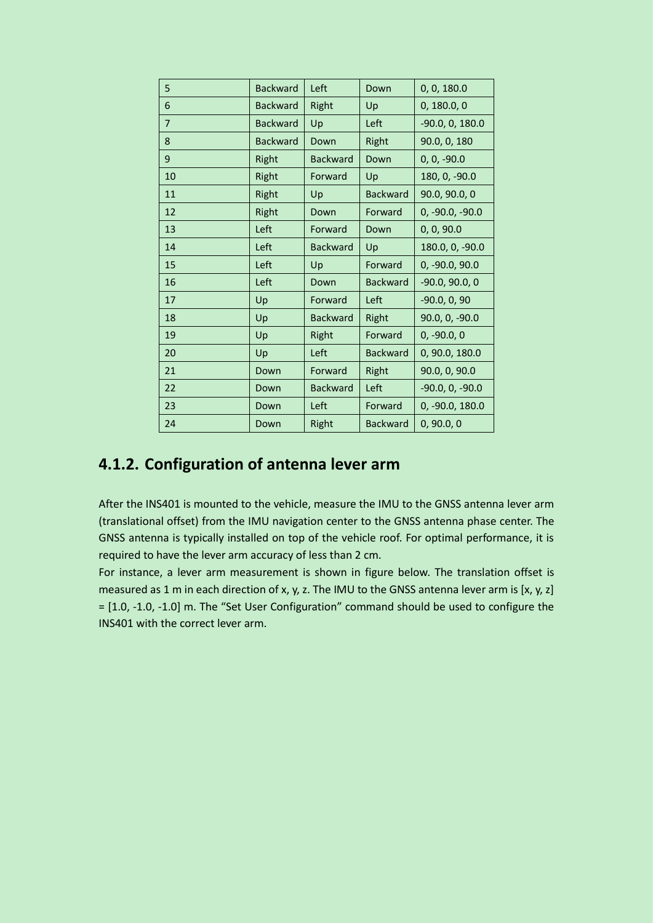| 5              | <b>Backward</b> | Left            | Down            | 0, 0, 180.0       |
|----------------|-----------------|-----------------|-----------------|-------------------|
| 6              | <b>Backward</b> | Right           | Up              | 0, 180.0, 0       |
| $\overline{7}$ | <b>Backward</b> | Up              | Left            | -90.0, 0, 180.0   |
| 8              | <b>Backward</b> | Down            | Right           | 90.0, 0, 180      |
| 9              | Right           | <b>Backward</b> | Down            | $0, 0, -90.0$     |
| 10             | Right           | Forward         | Up              | 180, 0, -90.0     |
| 11             | Right           | Up              | <b>Backward</b> | 90.0, 90.0, 0     |
| 12             | Right           | Down            | Forward         | $0, -90.0, -90.0$ |
| 13             | Left            | Forward         | Down            | 0, 0, 90.0        |
| 14             | Left            | <b>Backward</b> | Up              | 180.0, 0, -90.0   |
| 15             | Left            | Up              | Forward         | $0, -90.0, 90.0$  |
| 16             | Left            | Down            | <b>Backward</b> | $-90.0, 90.0, 0$  |
| 17             | Up              | Forward         | Left            | $-90.0, 0, 90$    |
| 18             | Up              | <b>Backward</b> | Right           | 90.0, 0, -90.0    |
| 19             | Up              | Right           | Forward         | $0, -90.0, 0$     |
| 20             | Up              | Left            | <b>Backward</b> | 0, 90.0, 180.0    |
| 21             | Down            | Forward         | Right           | 90.0, 0, 90.0     |
| 22             | Down            | <b>Backward</b> | Left            | $-90.0, 0, -90.0$ |
| 23             | Down            | Left            | Forward         | 0, -90.0, 180.0   |
| 24             | Down            | Right           | <b>Backward</b> | 0, 90.0, 0        |

## **4.1.2. Configuration of antenna lever arm**

After the INS401 is mounted to the vehicle, measure the IMU to the GNSS antenna lever arm (translational offset) from the IMU navigation center to the GNSS antenna phase center. The GNSS antenna is typically installed on top of the vehicle roof. For optimal performance, it is required to have the lever arm accuracy of less than 2 cm.

For instance, a lever arm measurement is shown in figure below. The translation offset is measured as 1 m in each direction of x, y, z. The IMU to the GNSS antenna lever arm is [x, y, z] = [1.0, -1.0, -1.0] m. The "Set User Configuration" command should be used to configure the INS401 with the correct lever arm.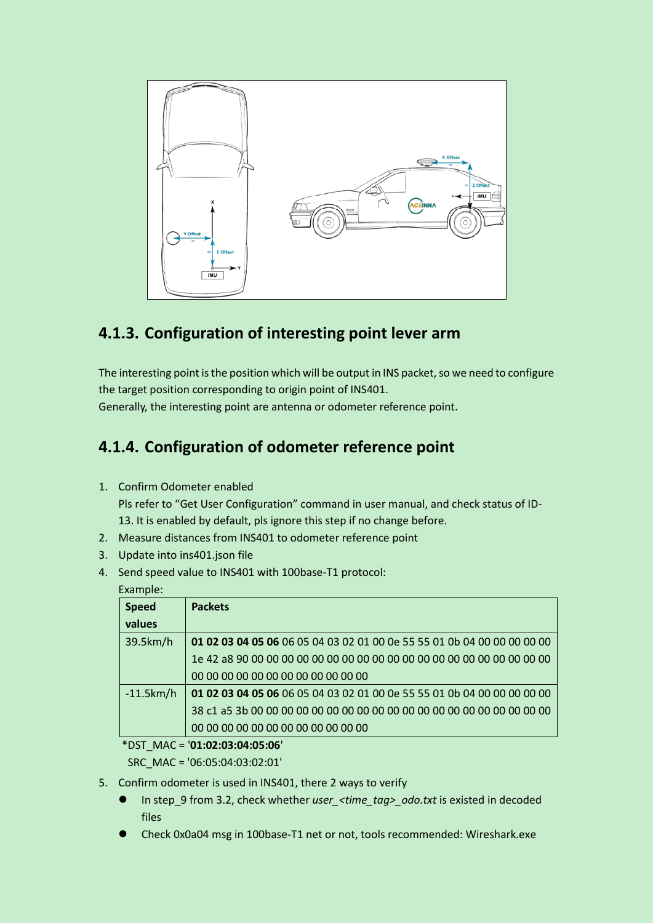

## **4.1.3. Configuration of interesting point lever arm**

The interesting point is the position which will be output in INS packet, so we need to configure the target position corresponding to origin point of INS401. Generally, the interesting point are antenna or odometer reference point.

## <span id="page-7-0"></span>**4.1.4. Configuration of odometer reference point**

- 1. Confirm Odometer enabled Pls refer to "Get User Configuration" command in user manual, and check status of ID-13. It is enabled by default, pls ignore this step if no change before.
- 2. Measure distances from INS401 to odometer reference point
- 3. Update into [ins401.json](#page-5-1) file
- 4. Send speed value to INS401 with 100base-T1 protocol:
	- Example:

| <b>Speed</b> | <b>Packets</b>                                                          |
|--------------|-------------------------------------------------------------------------|
| values       |                                                                         |
| 39.5km/h     | 01 02 03 04 05 06 06 05 04 03 02 01 00 0e 55 55 01 0b 04 00 00 00 00 00 |
|              |                                                                         |
|              | 00 00 00 00 00 00 00 00 00 00 00 00                                     |
| $-11.5km/h$  | 01 02 03 04 05 06 06 05 04 03 02 01 00 0e 55 55 01 0b 04 00 00 00 00 00 |
|              |                                                                         |
|              | 00 00 00 00 00 00 00 00 00 00 00 00                                     |

\*DST\_MAC = '**01:02:03:04:05:06**'

SRC\_MAC = '06:05:04:03:02:01'

- 5. Confirm odometer is used in INS401, there 2 ways to verify
	- In step\_9 from [3.2,](#page-2-1) check whether *user\_<time\_tag>\_odo.txt* is existed in decoded files
	- ⚫ Check 0x0a04 msg in 100base-T1 net or not, tools recommended: Wireshark.exe